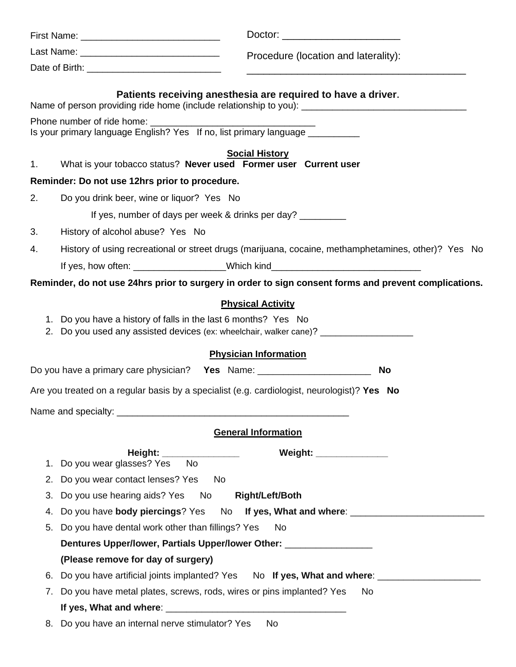|    | Doctor: ________________________                                                                                                                                     |
|----|----------------------------------------------------------------------------------------------------------------------------------------------------------------------|
|    | Procedure (location and laterality):                                                                                                                                 |
|    | <u> 1989 - Johann Stoff, amerikansk politiker (* 1908)</u>                                                                                                           |
|    | Patients receiving anesthesia are required to have a driver.<br>Name of person providing ride home (include relationship to you): __________________________________ |
|    | Is your primary language English? Yes If no, list primary language __________                                                                                        |
| 1. | <b>Social History</b><br>What is your tobacco status? Never used Former user Current user                                                                            |
|    | Reminder: Do not use 12hrs prior to procedure.                                                                                                                       |
| 2. | Do you drink beer, wine or liquor? Yes No                                                                                                                            |
|    | If yes, number of days per week & drinks per day?                                                                                                                    |
| 3. | History of alcohol abuse? Yes No                                                                                                                                     |
| 4. | History of using recreational or street drugs (marijuana, cocaine, methamphetamines, other)? Yes No                                                                  |
|    | If yes, how often: ____________________Which kind_______________________________                                                                                     |
|    | Reminder, do not use 24hrs prior to surgery in order to sign consent forms and prevent complications.                                                                |
|    | <b>Physical Activity</b>                                                                                                                                             |
|    | 1. Do you have a history of falls in the last 6 months? Yes No                                                                                                       |
|    | 2. Do you used any assisted devices (ex: wheelchair, walker cane)? ______________                                                                                    |
|    | <b>Physician Information</b>                                                                                                                                         |
|    | Do you have a primary care physician? Yes Name: ________________________________<br>No                                                                               |
|    | Are you treated on a regular basis by a specialist (e.g. cardiologist, neurologist)? Yes No                                                                          |
|    |                                                                                                                                                                      |
|    | <b>General Information</b>                                                                                                                                           |
|    | Weight: ______________<br>Height: _________________                                                                                                                  |
| 1. | Do you wear glasses? Yes<br><b>No</b>                                                                                                                                |
| 2. | Do you wear contact lenses? Yes<br>No.                                                                                                                               |
| 3. | Do you use hearing aids? Yes No<br><b>Right/Left/Both</b>                                                                                                            |
| 4. | Do you have body piercings? Yes No If yes, What and where: _____________________                                                                                     |
| 5. | Do you have dental work other than fillings? Yes<br>No.                                                                                                              |
|    | Dentures Upper/lower, Partials Upper/lower Other: ______________________________                                                                                     |
|    | (Please remove for day of surgery)                                                                                                                                   |
| 6. | Do you have artificial joints implanted? Yes No If yes, What and where: _______________                                                                              |
| 7. | Do you have metal plates, screws, rods, wires or pins implanted? Yes<br>No.                                                                                          |
|    |                                                                                                                                                                      |
| 8. | Do you have an internal nerve stimulator? Yes<br><b>No</b>                                                                                                           |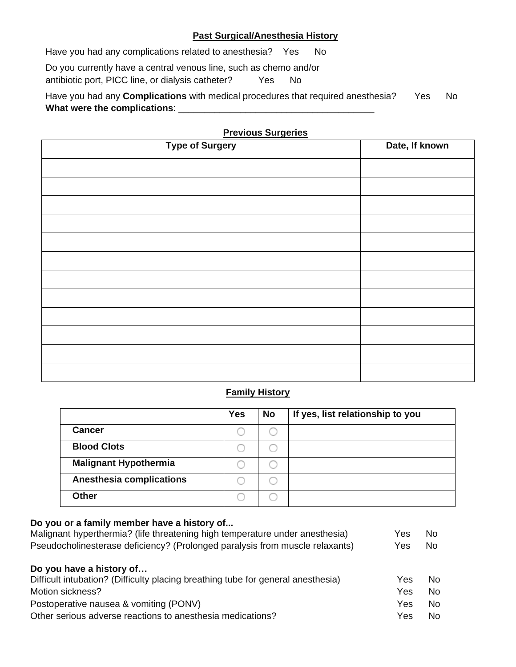### **Past Surgical/Anesthesia History**

Have you had any complications related to anesthesia? Yes No Do you currently have a central venous line, such as chemo and/or antibiotic port, PICC line, or dialysis catheter? Yes No

Have you had any **Complications** with medical procedures that required anesthesia? Yes No What were the complications: **What** 

| <b>Type of Surgery</b> | Date, If known |
|------------------------|----------------|
|                        |                |
|                        |                |
|                        |                |
|                        |                |
|                        |                |
|                        |                |
|                        |                |
|                        |                |
|                        |                |
|                        |                |
|                        |                |
|                        |                |
|                        |                |

#### **Previous Surgeries**

#### **Family History**

|                                 | <b>Yes</b> | <b>No</b> | If yes, list relationship to you |
|---------------------------------|------------|-----------|----------------------------------|
| <b>Cancer</b>                   |            |           |                                  |
| <b>Blood Clots</b>              |            |           |                                  |
| <b>Malignant Hypothermia</b>    |            |           |                                  |
| <b>Anesthesia complications</b> |            |           |                                  |
| <b>Other</b>                    |            |           |                                  |

# **Do you or a family member have a history of...** Malignant hyperthermia? (life threatening high temperature under anesthesia) Yes No Pseudocholinesterase deficiency? (Prolonged paralysis from muscle relaxants) Yes No **Do you have a history of…** Difficult intubation? (Difficulty placing breathing tube for general anesthesia) Yes No Motion sickness? The Contract of the Contract of the Contract of the Contract of the Contract of the Contract of the Contract of the Contract of the Contract of the Contract of the Contract of the Contract of the Contract Postoperative nausea & vomiting (PONV) No was also a member of the No Yes No Other serious adverse reactions to anesthesia medications? The Motor State Control of the No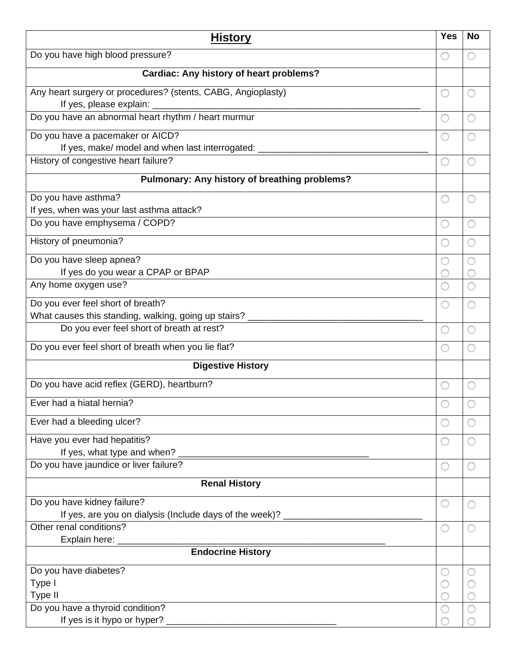| <b>History</b>                                                                        | <b>Yes</b> | <b>No</b> |  |  |
|---------------------------------------------------------------------------------------|------------|-----------|--|--|
| Do you have high blood pressure?                                                      |            |           |  |  |
| Cardiac: Any history of heart problems?                                               |            |           |  |  |
| Any heart surgery or procedures? (stents, CABG, Angioplasty)                          |            |           |  |  |
| If yes, please explain: _<br><u> 1989 - Johann John Stein, marwolaethau (b. 1989)</u> |            |           |  |  |
| Do you have an abnormal heart rhythm / heart murmur                                   |            |           |  |  |
| Do you have a pacemaker or AICD?                                                      |            |           |  |  |
| If yes, make/ model and when last interrogated: ________                              |            |           |  |  |
| History of congestive heart failure?                                                  |            |           |  |  |
| Pulmonary: Any history of breathing problems?                                         |            |           |  |  |
| Do you have asthma?                                                                   |            |           |  |  |
| If yes, when was your last asthma attack?                                             |            |           |  |  |
| Do you have emphysema / COPD?                                                         |            |           |  |  |
| History of pneumonia?                                                                 |            |           |  |  |
| Do you have sleep apnea?                                                              |            |           |  |  |
| If yes do you wear a CPAP or BPAP                                                     |            |           |  |  |
| Any home oxygen use?                                                                  |            |           |  |  |
| Do you ever feel short of breath?                                                     |            |           |  |  |
| What causes this standing, walking, going up stairs? ____                             |            |           |  |  |
| Do you ever feel short of breath at rest?                                             |            |           |  |  |
| Do you ever feel short of breath when you lie flat?                                   |            |           |  |  |
| <b>Digestive History</b>                                                              |            |           |  |  |
| Do you have acid reflex (GERD), heartburn?                                            |            |           |  |  |
| Ever had a hiatal hernia?                                                             |            |           |  |  |
| Ever had a bleeding ulcer?                                                            |            |           |  |  |
| Have you ever had hepatitis?                                                          |            |           |  |  |
|                                                                                       |            |           |  |  |
| Do you have jaundice or liver failure?                                                |            |           |  |  |
| <b>Renal History</b>                                                                  |            |           |  |  |
| Do you have kidney failure?                                                           |            |           |  |  |
| If yes, are you on dialysis (Include days of the week)? ________________________      |            |           |  |  |
| Other renal conditions?                                                               |            |           |  |  |
|                                                                                       |            |           |  |  |
|                                                                                       |            |           |  |  |
| Do you have diabetes?                                                                 |            |           |  |  |
| Type I                                                                                |            |           |  |  |
| Type II                                                                               |            |           |  |  |
| Do you have a thyroid condition?                                                      |            |           |  |  |
|                                                                                       |            |           |  |  |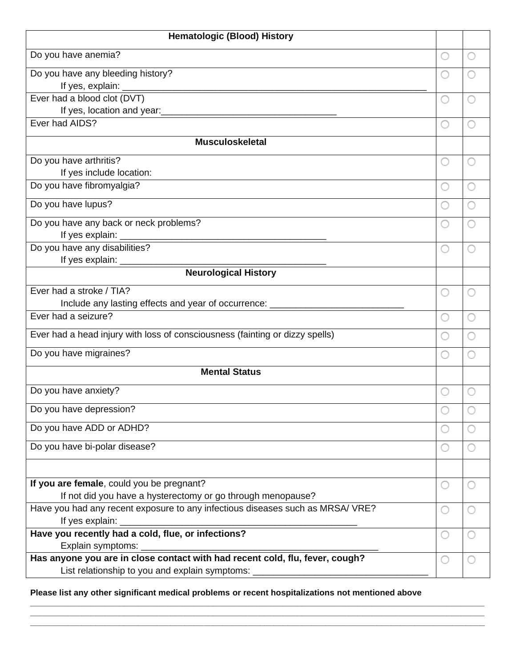| <b>Hematologic (Blood) History</b>                                                                                                                                                                                                     |  |  |  |
|----------------------------------------------------------------------------------------------------------------------------------------------------------------------------------------------------------------------------------------|--|--|--|
| Do you have anemia?                                                                                                                                                                                                                    |  |  |  |
| Do you have any bleeding history?                                                                                                                                                                                                      |  |  |  |
|                                                                                                                                                                                                                                        |  |  |  |
| Ever had a blood clot (DVT)                                                                                                                                                                                                            |  |  |  |
| If yes, location and year:<br><u>Universe and the set of the set of the set of the set of the set of the set of the set of the set of the set of the set of the set of the set of the set of the set of the set of the set of the </u> |  |  |  |
| Ever had AIDS?                                                                                                                                                                                                                         |  |  |  |
| <b>Musculoskeletal</b>                                                                                                                                                                                                                 |  |  |  |
| Do you have arthritis?                                                                                                                                                                                                                 |  |  |  |
| If yes include location:                                                                                                                                                                                                               |  |  |  |
| Do you have fibromyalgia?                                                                                                                                                                                                              |  |  |  |
| Do you have lupus?                                                                                                                                                                                                                     |  |  |  |
| Do you have any back or neck problems?                                                                                                                                                                                                 |  |  |  |
|                                                                                                                                                                                                                                        |  |  |  |
| Do you have any disabilities?                                                                                                                                                                                                          |  |  |  |
|                                                                                                                                                                                                                                        |  |  |  |
| <b>Neurological History</b>                                                                                                                                                                                                            |  |  |  |
| Ever had a stroke / TIA?                                                                                                                                                                                                               |  |  |  |
| Include any lasting effects and year of occurrence: ____________________________                                                                                                                                                       |  |  |  |
| Ever had a seizure?                                                                                                                                                                                                                    |  |  |  |
| Ever had a head injury with loss of consciousness (fainting or dizzy spells)                                                                                                                                                           |  |  |  |
| Do you have migraines?                                                                                                                                                                                                                 |  |  |  |
| <b>Mental Status</b>                                                                                                                                                                                                                   |  |  |  |
| Do you have anxiety?                                                                                                                                                                                                                   |  |  |  |
| Do you have depression?                                                                                                                                                                                                                |  |  |  |
| Do you have ADD or ADHD?                                                                                                                                                                                                               |  |  |  |
| Do you have bi-polar disease?                                                                                                                                                                                                          |  |  |  |
|                                                                                                                                                                                                                                        |  |  |  |
| If you are female, could you be pregnant?                                                                                                                                                                                              |  |  |  |
| If not did you have a hysterectomy or go through menopause?                                                                                                                                                                            |  |  |  |
| Have you had any recent exposure to any infectious diseases such as MRSA/ VRE?                                                                                                                                                         |  |  |  |
| If yes explain: _                                                                                                                                                                                                                      |  |  |  |
| Have you recently had a cold, flue, or infections?                                                                                                                                                                                     |  |  |  |
| Explain symptoms: _                                                                                                                                                                                                                    |  |  |  |
| Has anyone you are in close contact with had recent cold, flu, fever, cough?<br>List relationship to you and explain symptoms:                                                                                                         |  |  |  |
|                                                                                                                                                                                                                                        |  |  |  |

**Please list any other significant medical problems or recent hospitalizations not mentioned above**

 $\overline{\phantom{a}}$  ,  $\overline{\phantom{a}}$  ,  $\overline{\phantom{a}}$  ,  $\overline{\phantom{a}}$  ,  $\overline{\phantom{a}}$  ,  $\overline{\phantom{a}}$  ,  $\overline{\phantom{a}}$  ,  $\overline{\phantom{a}}$  ,  $\overline{\phantom{a}}$  ,  $\overline{\phantom{a}}$  ,  $\overline{\phantom{a}}$  ,  $\overline{\phantom{a}}$  ,  $\overline{\phantom{a}}$  ,  $\overline{\phantom{a}}$  ,  $\overline{\phantom{a}}$  ,  $\overline{\phantom{a}}$  $\Box$  . The contribution of the contribution of the contribution of the contribution of the contribution of the contribution of the contribution of the contribution of the contribution of the contribution of the contributi  $\Box$  . The contribution of the contribution of the contribution of the contribution of the contribution of the contribution of the contribution of the contribution of the contribution of the contribution of the contributi